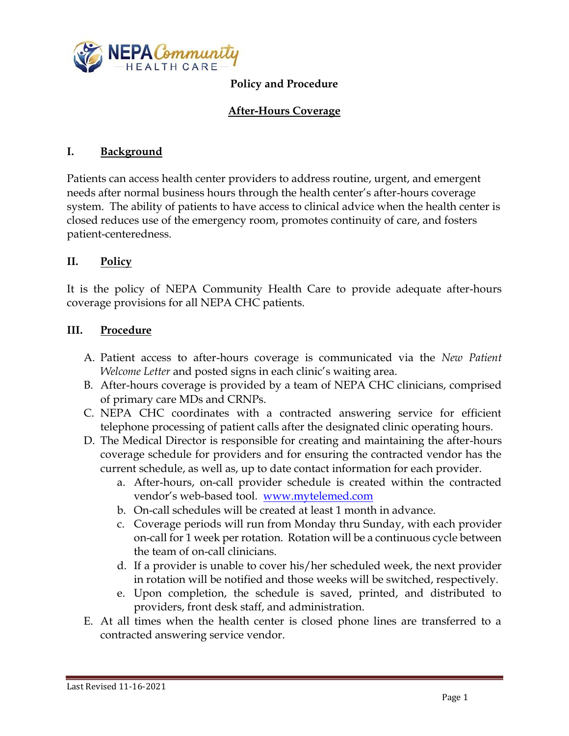

# **Policy and Procedure**

## **After-Hours Coverage**

#### **I. Background**

Patients can access health center providers to address routine, urgent, and emergent needs after normal business hours through the health center's after-hours coverage system. The ability of patients to have access to clinical advice when the health center is closed reduces use of the emergency room, promotes continuity of care, and fosters patient-centeredness.

## **II. Policy**

It is the policy of NEPA Community Health Care to provide adequate after-hours coverage provisions for all NEPA CHC patients.

## **III. Procedure**

- A. Patient access to after-hours coverage is communicated via the *New Patient Welcome Letter* and posted signs in each clinic's waiting area.
- B. After-hours coverage is provided by a team of NEPA CHC clinicians, comprised of primary care MDs and CRNPs.
- C. NEPA CHC coordinates with a contracted answering service for efficient telephone processing of patient calls after the designated clinic operating hours.
- D. The Medical Director is responsible for creating and maintaining the after-hours coverage schedule for providers and for ensuring the contracted vendor has the current schedule, as well as, up to date contact information for each provider.
	- a. After-hours, on-call provider schedule is created within the contracted vendor's web-based tool. [www.mytelemed.com](http://www.mytelemed.com/)
	- b. On-call schedules will be created at least 1 month in advance.
	- c. Coverage periods will run from Monday thru Sunday, with each provider on-call for 1 week per rotation. Rotation will be a continuous cycle between the team of on-call clinicians.
	- d. If a provider is unable to cover his/her scheduled week, the next provider in rotation will be notified and those weeks will be switched, respectively.
	- e. Upon completion, the schedule is saved, printed, and distributed to providers, front desk staff, and administration.
- E. At all times when the health center is closed phone lines are transferred to a contracted answering service vendor.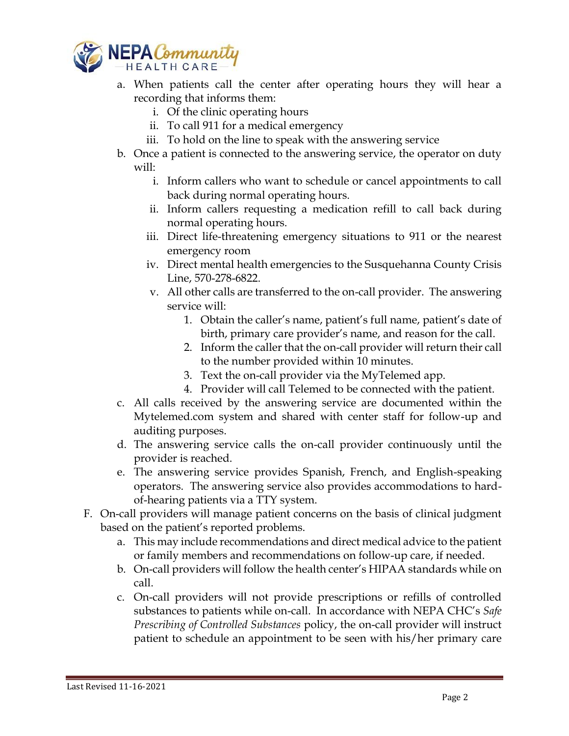

- a. When patients call the center after operating hours they will hear a recording that informs them:
	- i. Of the clinic operating hours
	- ii. To call 911 for a medical emergency
	- iii. To hold on the line to speak with the answering service
- b. Once a patient is connected to the answering service, the operator on duty will:
	- i. Inform callers who want to schedule or cancel appointments to call back during normal operating hours.
	- ii. Inform callers requesting a medication refill to call back during normal operating hours.
	- iii. Direct life-threatening emergency situations to 911 or the nearest emergency room
	- iv. Direct mental health emergencies to the Susquehanna County Crisis Line, 570-278-6822.
	- v. All other calls are transferred to the on-call provider. The answering service will:
		- 1. Obtain the caller's name, patient's full name, patient's date of birth, primary care provider's name, and reason for the call.
		- 2. Inform the caller that the on-call provider will return their call to the number provided within 10 minutes.
		- 3. Text the on-call provider via the MyTelemed app.
		- 4. Provider will call Telemed to be connected with the patient.
- c. All calls received by the answering service are documented within the Mytelemed.com system and shared with center staff for follow-up and auditing purposes.
- d. The answering service calls the on-call provider continuously until the provider is reached.
- e. The answering service provides Spanish, French, and English-speaking operators. The answering service also provides accommodations to hardof-hearing patients via a TTY system.
- F. On-call providers will manage patient concerns on the basis of clinical judgment based on the patient's reported problems.
	- a. This may include recommendations and direct medical advice to the patient or family members and recommendations on follow-up care, if needed.
	- b. On-call providers will follow the health center's HIPAA standards while on call.
	- c. On-call providers will not provide prescriptions or refills of controlled substances to patients while on-call. In accordance with NEPA CHC's *Safe Prescribing of Controlled Substances* policy, the on-call provider will instruct patient to schedule an appointment to be seen with his/her primary care